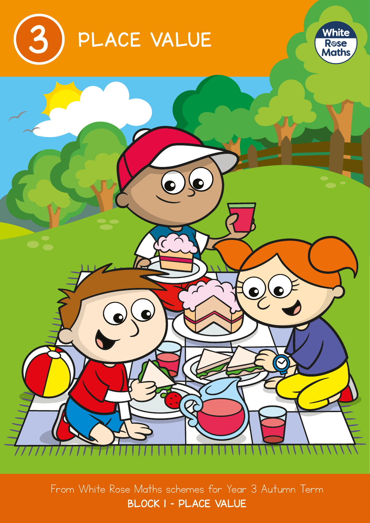





From White Rose Maths schemes for Year 3 Autumn Term BLOCK 1 – PLACE VALUE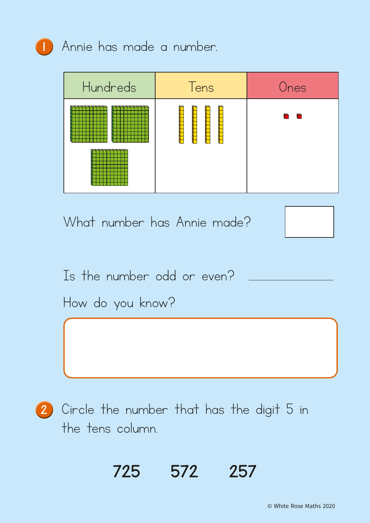

**1** Annie has made a number.

| Hundreds | Tens | Ones                                                                                                                |
|----------|------|---------------------------------------------------------------------------------------------------------------------|
|          |      | n<br>d and the second stress of the second stress in the second second stress in the second second second second se |

What number has Annie made?



Is the number odd or even?

How do you know?

2 Circle the number that has the digit 5 in the tens column.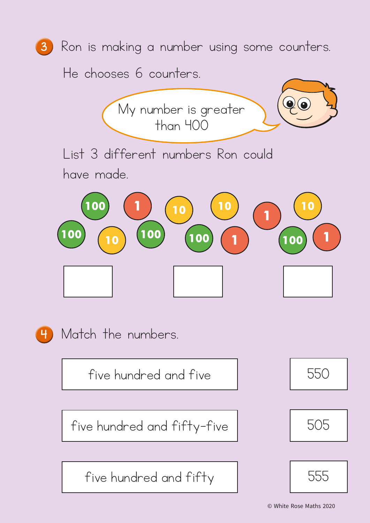

He chooses 6 counters.





4 Match the numbers.

five hundred and five Theorem 1 550

 $five$  hundred and  $fifty-five$   $|$  505

five hundred and fifty 555





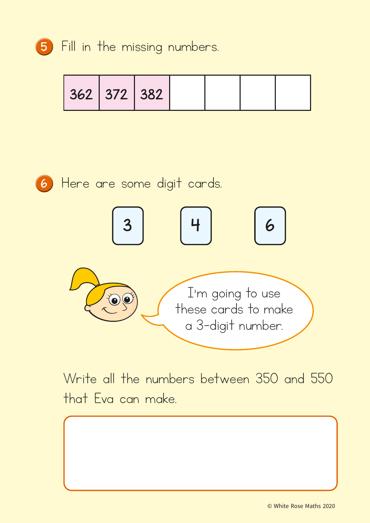

|  | 362 372 382 |  |  |  |  |
|--|-------------|--|--|--|--|
|--|-------------|--|--|--|--|



<sup>6</sup> Here are some digit cards.



Write all the numbers between 350 and 550 that Eva can make.

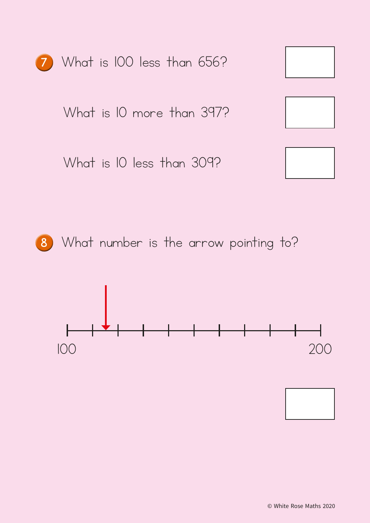



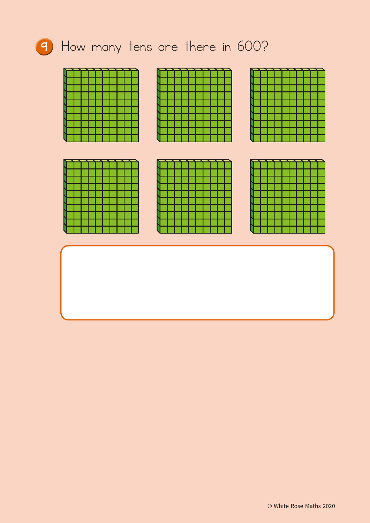## <sup>9</sup> How many tens are there in 600?







| $\overline{\phantom{a}}$ |  |  |  |  |  |
|--------------------------|--|--|--|--|--|